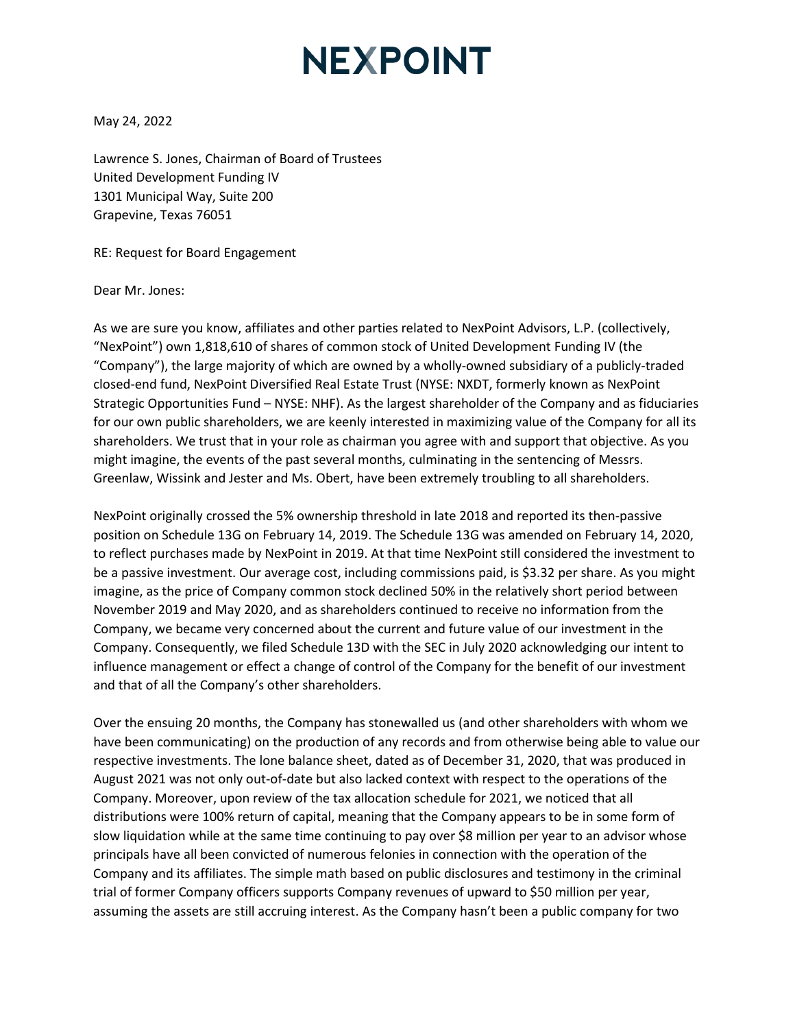## **NEXPOINT**

May 24, 2022

Lawrence S. Jones, Chairman of Board of Trustees United Development Funding IV 1301 Municipal Way, Suite 200 Grapevine, Texas 76051

RE: Request for Board Engagement

Dear Mr. Jones:

As we are sure you know, affiliates and other parties related to NexPoint Advisors, L.P. (collectively, "NexPoint") own 1,818,610 of shares of common stock of United Development Funding IV (the "Company"), the large majority of which are owned by a wholly-owned subsidiary of a publicly-traded closed-end fund, NexPoint Diversified Real Estate Trust (NYSE: NXDT, formerly known as NexPoint Strategic Opportunities Fund – NYSE: NHF). As the largest shareholder of the Company and as fiduciaries for our own public shareholders, we are keenly interested in maximizing value of the Company for all its shareholders. We trust that in your role as chairman you agree with and support that objective. As you might imagine, the events of the past several months, culminating in the sentencing of Messrs. Greenlaw, Wissink and Jester and Ms. Obert, have been extremely troubling to all shareholders.

NexPoint originally crossed the 5% ownership threshold in late 2018 and reported its then-passive position on Schedule 13G on February 14, 2019. The Schedule 13G was amended on February 14, 2020, to reflect purchases made by NexPoint in 2019. At that time NexPoint still considered the investment to be a passive investment. Our average cost, including commissions paid, is \$3.32 per share. As you might imagine, as the price of Company common stock declined 50% in the relatively short period between November 2019 and May 2020, and as shareholders continued to receive no information from the Company, we became very concerned about the current and future value of our investment in the Company. Consequently, we filed Schedule 13D with the SEC in July 2020 acknowledging our intent to influence management or effect a change of control of the Company for the benefit of our investment and that of all the Company's other shareholders.

Over the ensuing 20 months, the Company has stonewalled us (and other shareholders with whom we have been communicating) on the production of any records and from otherwise being able to value our respective investments. The lone balance sheet, dated as of December 31, 2020, that was produced in August 2021 was not only out-of-date but also lacked context with respect to the operations of the Company. Moreover, upon review of the tax allocation schedule for 2021, we noticed that all distributions were 100% return of capital, meaning that the Company appears to be in some form of slow liquidation while at the same time continuing to pay over \$8 million per year to an advisor whose principals have all been convicted of numerous felonies in connection with the operation of the Company and its affiliates. The simple math based on public disclosures and testimony in the criminal trial of former Company officers supports Company revenues of upward to \$50 million per year, assuming the assets are still accruing interest. As the Company hasn't been a public company for two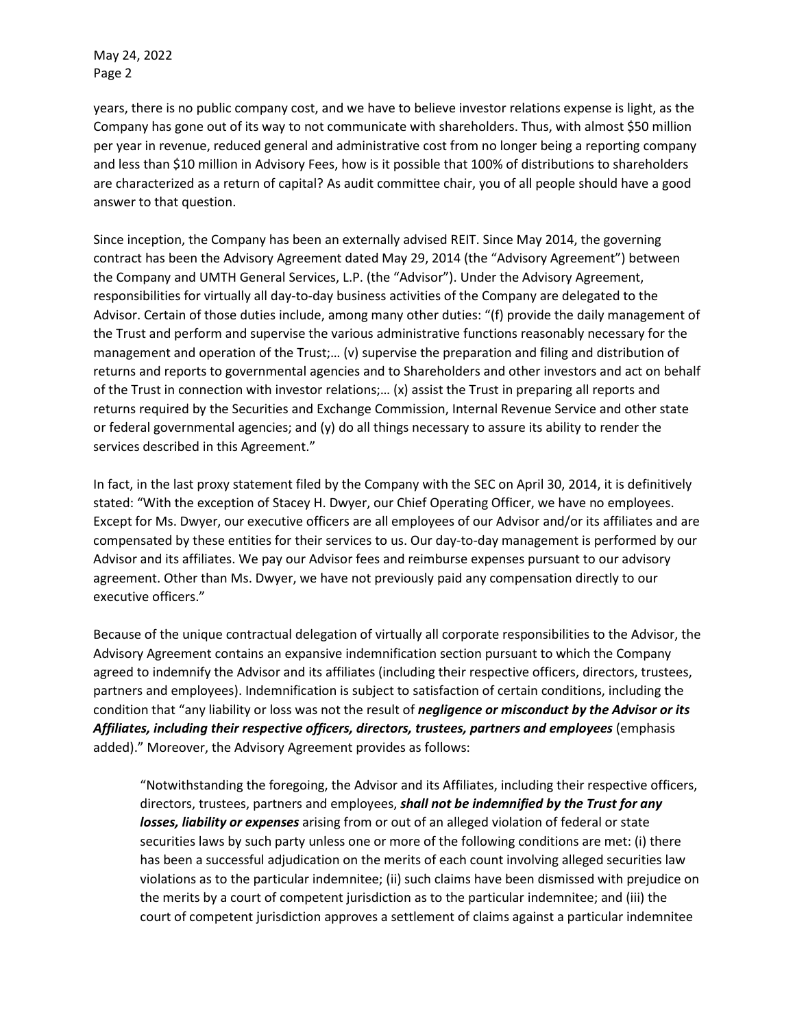May 24, 2022 Page 2

years, there is no public company cost, and we have to believe investor relations expense is light, as the Company has gone out of its way to not communicate with shareholders. Thus, with almost \$50 million per year in revenue, reduced general and administrative cost from no longer being a reporting company and less than \$10 million in Advisory Fees, how is it possible that 100% of distributions to shareholders are characterized as a return of capital? As audit committee chair, you of all people should have a good answer to that question.

Since inception, the Company has been an externally advised REIT. Since May 2014, the governing contract has been the Advisory Agreement dated May 29, 2014 (the "Advisory Agreement") between the Company and UMTH General Services, L.P. (the "Advisor"). Under the Advisory Agreement, responsibilities for virtually all day-to-day business activities of the Company are delegated to the Advisor. Certain of those duties include, among many other duties: "(f) provide the daily management of the Trust and perform and supervise the various administrative functions reasonably necessary for the management and operation of the Trust;… (v) supervise the preparation and filing and distribution of returns and reports to governmental agencies and to Shareholders and other investors and act on behalf of the Trust in connection with investor relations;… (x) assist the Trust in preparing all reports and returns required by the Securities and Exchange Commission, Internal Revenue Service and other state or federal governmental agencies; and (y) do all things necessary to assure its ability to render the services described in this Agreement."

In fact, in the last proxy statement filed by the Company with the SEC on April 30, 2014, it is definitively stated: "With the exception of Stacey H. Dwyer, our Chief Operating Officer, we have no employees. Except for Ms. Dwyer, our executive officers are all employees of our Advisor and/or its affiliates and are compensated by these entities for their services to us. Our day-to-day management is performed by our Advisor and its affiliates. We pay our Advisor fees and reimburse expenses pursuant to our advisory agreement. Other than Ms. Dwyer, we have not previously paid any compensation directly to our executive officers."

Because of the unique contractual delegation of virtually all corporate responsibilities to the Advisor, the Advisory Agreement contains an expansive indemnification section pursuant to which the Company agreed to indemnify the Advisor and its affiliates (including their respective officers, directors, trustees, partners and employees). Indemnification is subject to satisfaction of certain conditions, including the condition that "any liability or loss was not the result of *negligence or misconduct by the Advisor or its Affiliates, including their respective officers, directors, trustees, partners and employees* (emphasis added)." Moreover, the Advisory Agreement provides as follows:

"Notwithstanding the foregoing, the Advisor and its Affiliates, including their respective officers, directors, trustees, partners and employees, *shall not be indemnified by the Trust for any losses, liability or expenses* arising from or out of an alleged violation of federal or state securities laws by such party unless one or more of the following conditions are met: (i) there has been a successful adjudication on the merits of each count involving alleged securities law violations as to the particular indemnitee; (ii) such claims have been dismissed with prejudice on the merits by a court of competent jurisdiction as to the particular indemnitee; and (iii) the court of competent jurisdiction approves a settlement of claims against a particular indemnitee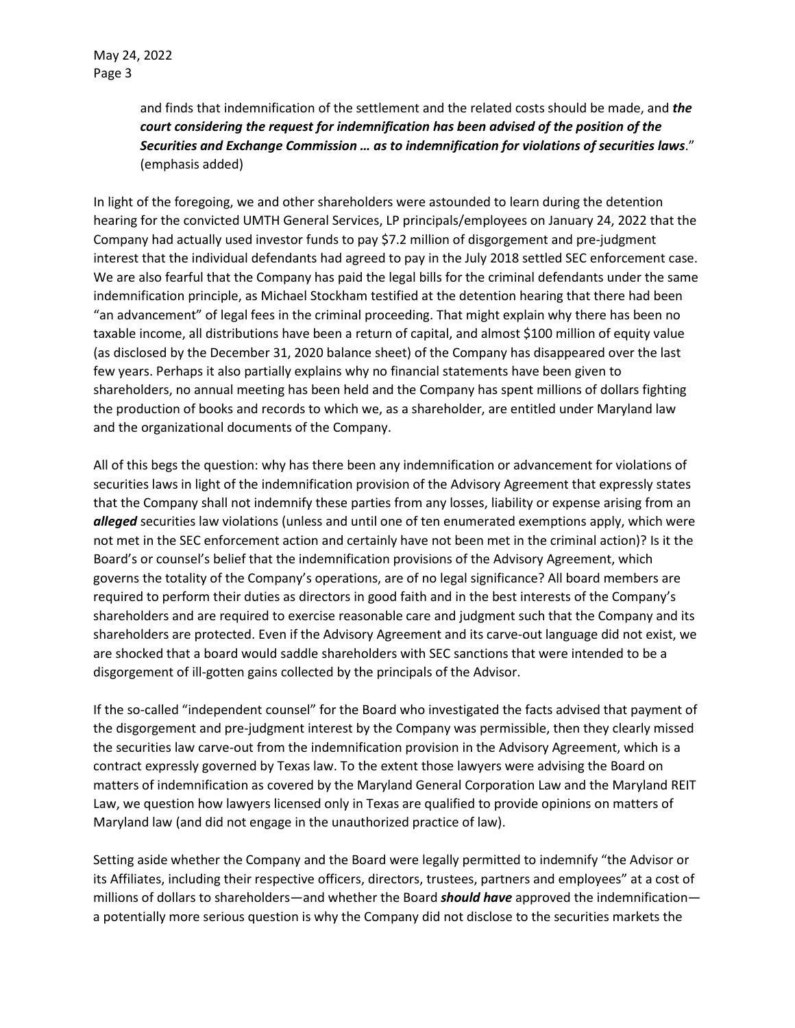and finds that indemnification of the settlement and the related costs should be made, and *the court considering the request for indemnification has been advised of the position of the Securities and Exchange Commission … as to indemnification for violations of securities laws*." (emphasis added)

In light of the foregoing, we and other shareholders were astounded to learn during the detention hearing for the convicted UMTH General Services, LP principals/employees on January 24, 2022 that the Company had actually used investor funds to pay \$7.2 million of disgorgement and pre-judgment interest that the individual defendants had agreed to pay in the July 2018 settled SEC enforcement case. We are also fearful that the Company has paid the legal bills for the criminal defendants under the same indemnification principle, as Michael Stockham testified at the detention hearing that there had been "an advancement" of legal fees in the criminal proceeding. That might explain why there has been no taxable income, all distributions have been a return of capital, and almost \$100 million of equity value (as disclosed by the December 31, 2020 balance sheet) of the Company has disappeared over the last few years. Perhaps it also partially explains why no financial statements have been given to shareholders, no annual meeting has been held and the Company has spent millions of dollars fighting the production of books and records to which we, as a shareholder, are entitled under Maryland law and the organizational documents of the Company.

All of this begs the question: why has there been any indemnification or advancement for violations of securities laws in light of the indemnification provision of the Advisory Agreement that expressly states that the Company shall not indemnify these parties from any losses, liability or expense arising from an *alleged* securities law violations (unless and until one of ten enumerated exemptions apply, which were not met in the SEC enforcement action and certainly have not been met in the criminal action)? Is it the Board's or counsel's belief that the indemnification provisions of the Advisory Agreement, which governs the totality of the Company's operations, are of no legal significance? All board members are required to perform their duties as directors in good faith and in the best interests of the Company's shareholders and are required to exercise reasonable care and judgment such that the Company and its shareholders are protected. Even if the Advisory Agreement and its carve-out language did not exist, we are shocked that a board would saddle shareholders with SEC sanctions that were intended to be a disgorgement of ill-gotten gains collected by the principals of the Advisor.

If the so-called "independent counsel" for the Board who investigated the facts advised that payment of the disgorgement and pre-judgment interest by the Company was permissible, then they clearly missed the securities law carve-out from the indemnification provision in the Advisory Agreement, which is a contract expressly governed by Texas law. To the extent those lawyers were advising the Board on matters of indemnification as covered by the Maryland General Corporation Law and the Maryland REIT Law, we question how lawyers licensed only in Texas are qualified to provide opinions on matters of Maryland law (and did not engage in the unauthorized practice of law).

Setting aside whether the Company and the Board were legally permitted to indemnify "the Advisor or its Affiliates, including their respective officers, directors, trustees, partners and employees" at a cost of millions of dollars to shareholders—and whether the Board *should have* approved the indemnification a potentially more serious question is why the Company did not disclose to the securities markets the